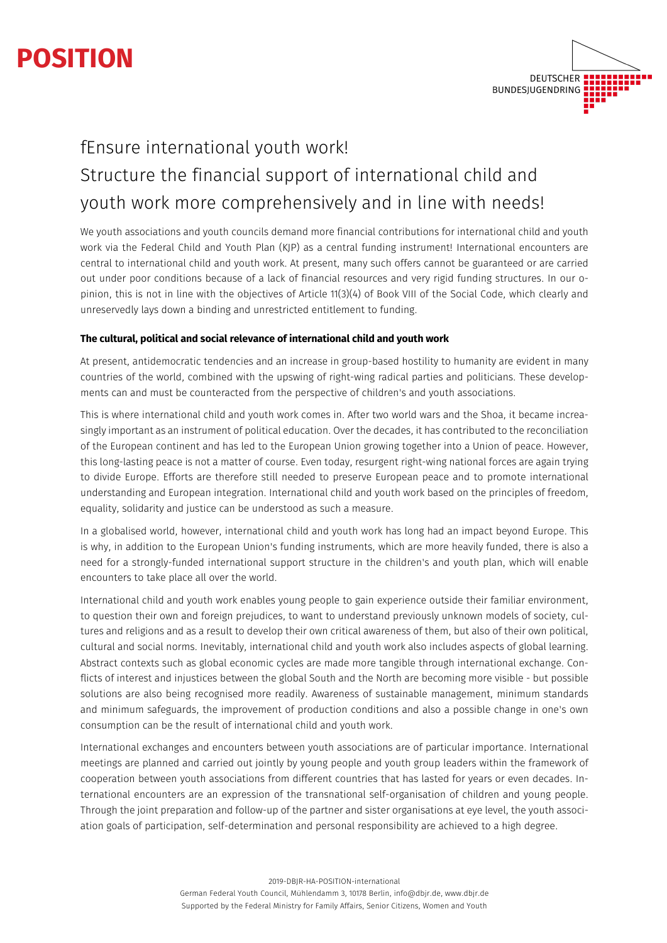# **POSITION**



# fEnsure international youth work! Structure the financial support of international child and youth work more comprehensively and in line with needs!

We youth associations and youth councils demand more financial contributions for international child and youth work via the Federal Child and Youth Plan (KJP) as a central funding instrument! International encounters are central to international child and youth work. At present, many such offers cannot be guaranteed or are carried out under poor conditions because of a lack of financial resources and very rigid funding structures. In our opinion, this is not in line with the objectives of Article 11(3)(4) of Book VIII of the Social Code, which clearly and unreservedly lays down a binding and unrestricted entitlement to funding.

## **The cultural, political and social relevance of international child and youth work**

At present, antidemocratic tendencies and an increase in group-based hostility to humanity are evident in many countries of the world, combined with the upswing of right-wing radical parties and politicians. These developments can and must be counteracted from the perspective of children's and youth associations.

This is where international child and youth work comes in. After two world wars and the Shoa, it became increasingly important as an instrument of political education. Over the decades, it has contributed to the reconciliation of the European continent and has led to the European Union growing together into a Union of peace. However, this long-lasting peace is not a matter of course. Even today, resurgent right-wing national forces are again trying to divide Europe. Efforts are therefore still needed to preserve European peace and to promote international understanding and European integration. International child and youth work based on the principles of freedom, equality, solidarity and justice can be understood as such a measure.

In a globalised world, however, international child and youth work has long had an impact beyond Europe. This is why, in addition to the European Union's funding instruments, which are more heavily funded, there is also a need for a strongly-funded international support structure in the children's and youth plan, which will enable encounters to take place all over the world.

International child and youth work enables young people to gain experience outside their familiar environment, to question their own and foreign prejudices, to want to understand previously unknown models of society, cultures and religions and as a result to develop their own critical awareness of them, but also of their own political, cultural and social norms. Inevitably, international child and youth work also includes aspects of global learning. Abstract contexts such as global economic cycles are made more tangible through international exchange. Conflicts of interest and injustices between the global South and the North are becoming more visible - but possible solutions are also being recognised more readily. Awareness of sustainable management, minimum standards and minimum safeguards, the improvement of production conditions and also a possible change in one's own consumption can be the result of international child and youth work.

International exchanges and encounters between youth associations are of particular importance. International meetings are planned and carried out jointly by young people and youth group leaders within the framework of cooperation between youth associations from different countries that has lasted for years or even decades. International encounters are an expression of the transnational self-organisation of children and young people. Through the joint preparation and follow-up of the partner and sister organisations at eye level, the youth association goals of participation, self-determination and personal responsibility are achieved to a high degree.

2019-DBJR-HA-POSITION-international

German Federal Youth Council, Mühlendamm 3, 10178 Berlin, info@dbjr.de, www.dbjr.de Supported by the Federal Ministry for Family Affairs, Senior Citizens, Women and Youth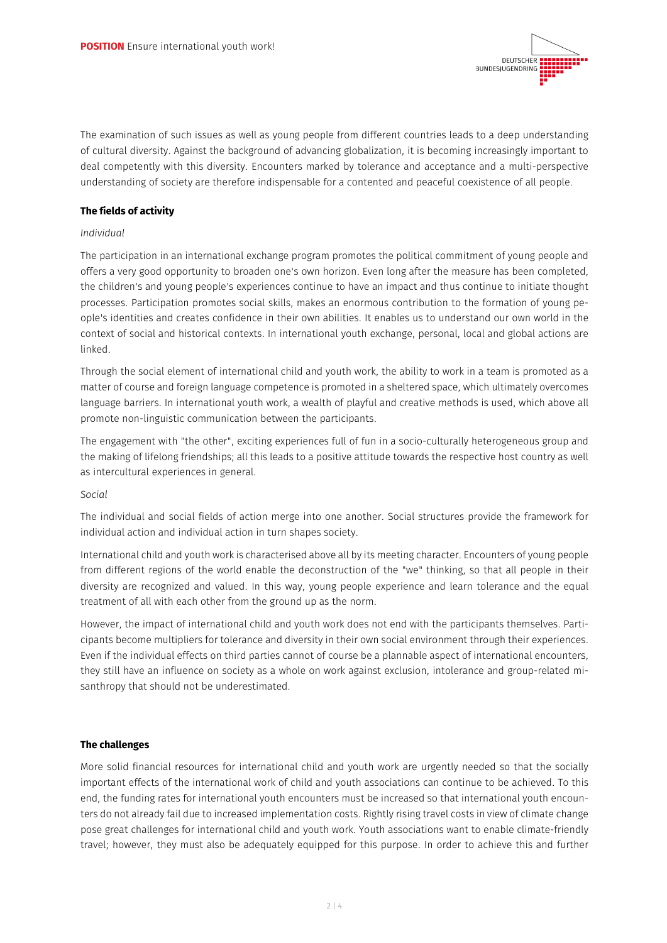

The examination of such issues as well as young people from different countries leads to a deep understanding of cultural diversity. Against the background of advancing globalization, it is becoming increasingly important to deal competently with this diversity. Encounters marked by tolerance and acceptance and a multi-perspective understanding of society are therefore indispensable for a contented and peaceful coexistence of all people.

#### **The fields of activity**

#### *Individual*

The participation in an international exchange program promotes the political commitment of young people and offers a very good opportunity to broaden one's own horizon. Even long after the measure has been completed, the children's and young people's experiences continue to have an impact and thus continue to initiate thought processes. Participation promotes social skills, makes an enormous contribution to the formation of young people's identities and creates confidence in their own abilities. It enables us to understand our own world in the context of social and historical contexts. In international youth exchange, personal, local and global actions are linked.

Through the social element of international child and youth work, the ability to work in a team is promoted as a matter of course and foreign language competence is promoted in a sheltered space, which ultimately overcomes language barriers. In international youth work, a wealth of playful and creative methods is used, which above all promote non-linguistic communication between the participants.

The engagement with "the other", exciting experiences full of fun in a socio-culturally heterogeneous group and the making of lifelong friendships; all this leads to a positive attitude towards the respective host country as well as intercultural experiences in general.

#### *Social*

The individual and social fields of action merge into one another. Social structures provide the framework for individual action and individual action in turn shapes society.

International child and youth work is characterised above all by its meeting character. Encounters of young people from different regions of the world enable the deconstruction of the "we" thinking, so that all people in their diversity are recognized and valued. In this way, young people experience and learn tolerance and the equal treatment of all with each other from the ground up as the norm.

However, the impact of international child and youth work does not end with the participants themselves. Participants become multipliers for tolerance and diversity in their own social environment through their experiences. Even if the individual effects on third parties cannot of course be a plannable aspect of international encounters, they still have an influence on society as a whole on work against exclusion, intolerance and group-related misanthropy that should not be underestimated.

#### **The challenges**

More solid financial resources for international child and youth work are urgently needed so that the socially important effects of the international work of child and youth associations can continue to be achieved. To this end, the funding rates for international youth encounters must be increased so that international youth encounters do not already fail due to increased implementation costs. Rightly rising travel costs in view of climate change pose great challenges for international child and youth work. Youth associations want to enable climate-friendly travel; however, they must also be adequately equipped for this purpose. In order to achieve this and further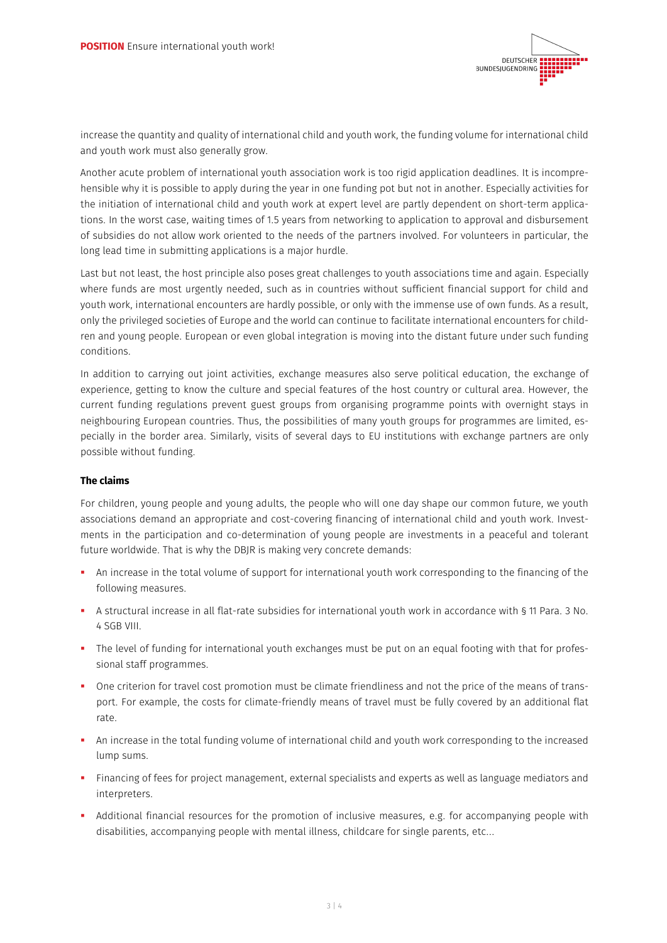

increase the quantity and quality of international child and youth work, the funding volume for international child and youth work must also generally grow.

Another acute problem of international youth association work is too rigid application deadlines. It is incomprehensible why it is possible to apply during the year in one funding pot but not in another. Especially activities for the initiation of international child and youth work at expert level are partly dependent on short-term applications. In the worst case, waiting times of 1.5 years from networking to application to approval and disbursement of subsidies do not allow work oriented to the needs of the partners involved. For volunteers in particular, the long lead time in submitting applications is a major hurdle.

Last but not least, the host principle also poses great challenges to youth associations time and again. Especially where funds are most urgently needed, such as in countries without sufficient financial support for child and youth work, international encounters are hardly possible, or only with the immense use of own funds. As a result, only the privileged societies of Europe and the world can continue to facilitate international encounters for children and young people. European or even global integration is moving into the distant future under such funding conditions.

In addition to carrying out joint activities, exchange measures also serve political education, the exchange of experience, getting to know the culture and special features of the host country or cultural area. However, the current funding regulations prevent guest groups from organising programme points with overnight stays in neighbouring European countries. Thus, the possibilities of many youth groups for programmes are limited, especially in the border area. Similarly, visits of several days to EU institutions with exchange partners are only possible without funding.

## **The claims**

For children, young people and young adults, the people who will one day shape our common future, we youth associations demand an appropriate and cost-covering financing of international child and youth work. Investments in the participation and co-determination of young people are investments in a peaceful and tolerant future worldwide. That is why the DBJR is making very concrete demands:

- § An increase in the total volume of support for international youth work corresponding to the financing of the following measures.
- § A structural increase in all flat-rate subsidies for international youth work in accordance with § 11 Para. 3 No. 4 SGB VIII.
- The level of funding for international youth exchanges must be put on an equal footing with that for professional staff programmes.
- § One criterion for travel cost promotion must be climate friendliness and not the price of the means of transport. For example, the costs for climate-friendly means of travel must be fully covered by an additional flat rate.
- § An increase in the total funding volume of international child and youth work corresponding to the increased lump sums.
- § Financing of fees for project management, external specialists and experts as well as language mediators and interpreters.
- § Additional financial resources for the promotion of inclusive measures, e.g. for accompanying people with disabilities, accompanying people with mental illness, childcare for single parents, etc...